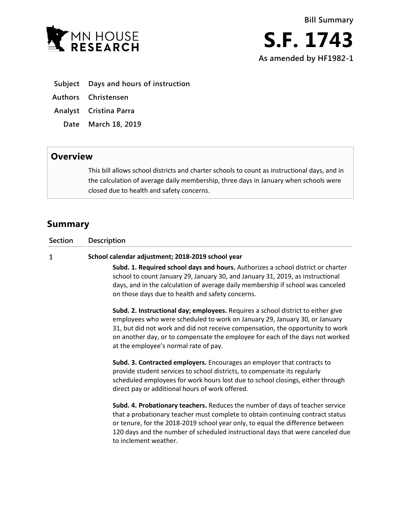

- **Subject Days and hours of instruction**
- **Authors Christensen**
- **Analyst Cristina Parra**
	- **Date March 18, 2019**

## **Overview**

This bill allows school districts and charter schools to count as instructional days, and in the calculation of average daily membership, three days in January when schools were closed due to health and safety concerns.

## **Summary**

| <b>Section</b> | <b>Description</b>                                                                                                                                                                                                                                                                                                                                                         |
|----------------|----------------------------------------------------------------------------------------------------------------------------------------------------------------------------------------------------------------------------------------------------------------------------------------------------------------------------------------------------------------------------|
| $\mathbf 1$    | School calendar adjustment; 2018-2019 school year                                                                                                                                                                                                                                                                                                                          |
|                | Subd. 1. Required school days and hours. Authorizes a school district or charter<br>school to count January 29, January 30, and January 31, 2019, as instructional<br>days, and in the calculation of average daily membership if school was canceled<br>on those days due to health and safety concerns.                                                                  |
|                | Subd. 2. Instructional day; employees. Requires a school district to either give<br>employees who were scheduled to work on January 29, January 30, or January<br>31, but did not work and did not receive compensation, the opportunity to work<br>on another day, or to compensate the employee for each of the days not worked<br>at the employee's normal rate of pay. |
|                | Subd. 3. Contracted employers. Encourages an employer that contracts to<br>provide student services to school districts, to compensate its regularly<br>scheduled employees for work hours lost due to school closings, either through<br>direct pay or additional hours of work offered.                                                                                  |
|                | Subd. 4. Probationary teachers. Reduces the number of days of teacher service<br>that a probationary teacher must complete to obtain continuing contract status<br>or tenure, for the 2018-2019 school year only, to equal the difference between<br>120 days and the number of scheduled instructional days that were canceled due<br>to inclement weather.               |